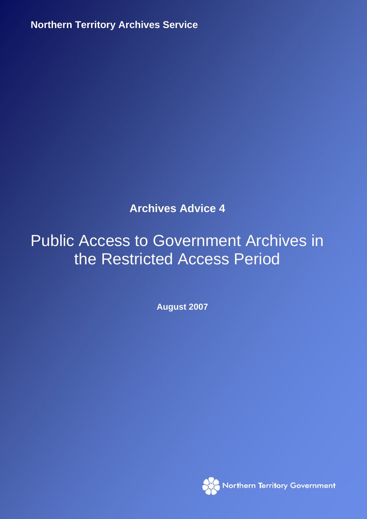**Northern Territory Archives Service 2007 12:000 Northern Territory Archives Service** 

**Archives Advice 4** 

# Public Access to Government Archives in the Restricted Access Period

**August 2007** 

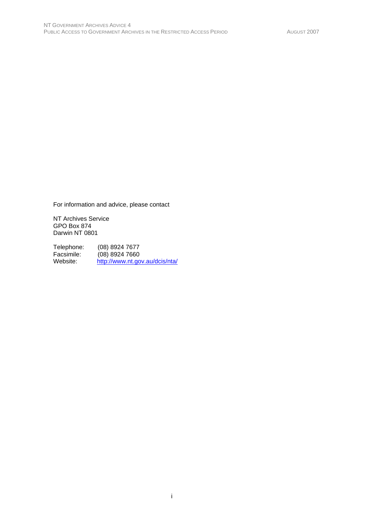For information and advice, please contact

NT Archives Service GPO Box 874 Darwin NT 0801

Telephone: (08) 8924 7677<br>Facsimile: (08) 8924 7660 Facsimile: (08) 8924 7660<br>Website: http://www.nt.go http://www.nt.gov.au/dcis/nta/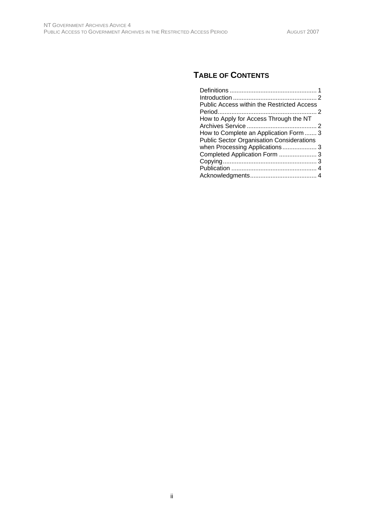# **TABLE OF CONTENTS**

| <b>Public Access within the Restricted Access</b> |  |
|---------------------------------------------------|--|
|                                                   |  |
| How to Apply for Access Through the NT            |  |
|                                                   |  |
| How to Complete an Application Form  3            |  |
| <b>Public Sector Organisation Considerations</b>  |  |
|                                                   |  |
|                                                   |  |
|                                                   |  |
|                                                   |  |
|                                                   |  |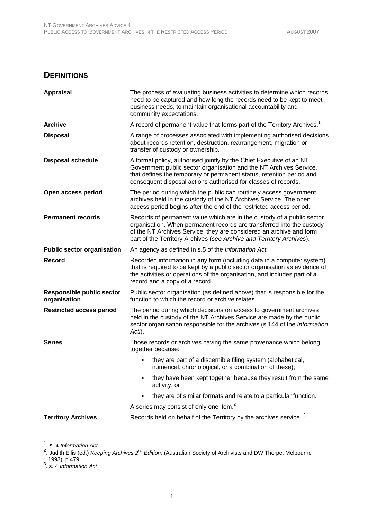#### **DEFINITIONS**

| <b>Appraisal</b>                                 | The process of evaluating business activities to determine which records<br>need to be captured and how long the records need to be kept to meet<br>business needs, to maintain organisational accountability and<br>community expectations.                                                   |
|--------------------------------------------------|------------------------------------------------------------------------------------------------------------------------------------------------------------------------------------------------------------------------------------------------------------------------------------------------|
| <b>Archive</b>                                   | A record of permanent value that forms part of the Territory Archives. <sup>1</sup>                                                                                                                                                                                                            |
| <b>Disposal</b>                                  | A range of processes associated with implementing authorised decisions<br>about records retention, destruction, rearrangement, migration or<br>transfer of custody or ownership.                                                                                                               |
| <b>Disposal schedule</b>                         | A formal policy, authorised jointly by the Chief Executive of an NT<br>Government public sector organisation and the NT Archives Service,<br>that defines the temporary or permanent status, retention period and<br>consequent disposal actions authorised for classes of records.            |
| Open access period                               | The period during which the public can routinely access government<br>archives held in the custody of the NT Archives Service. The open<br>access period begins after the end of the restricted access period.                                                                                 |
| <b>Permanent records</b>                         | Records of permanent value which are in the custody of a public sector<br>organisation. When permanent records are transferred into the custody<br>of the NT Archives Service, they are considered an archive and form<br>part of the Territory Archives (see Archive and Territory Archives). |
| <b>Public sector organisation</b>                | An agency as defined in s.5 of the Information Act.                                                                                                                                                                                                                                            |
| <b>Record</b>                                    | Recorded information in any form (including data in a computer system)<br>that is required to be kept by a public sector organisation as evidence of<br>the activities or operations of the organisation, and includes part of a<br>record and a copy of a record.                             |
| <b>Responsible public sector</b><br>organisation | Public sector organisation (as defined above) that is responsible for the<br>function to which the record or archive relates.                                                                                                                                                                  |
| <b>Restricted access period</b>                  | The period during which decisions on access to government archives<br>held in the custody of the NT Archives Service are made by the public<br>sector organisation responsible for the archives (s.144 of the Information<br>Acti).                                                            |
| <b>Series</b>                                    | Those records or archives having the same provenance which belong<br>together because:                                                                                                                                                                                                         |
|                                                  | they are part of a discernible filing system (alphabetical,<br>numerical, chronological, or a combination of these);                                                                                                                                                                           |
|                                                  | they have been kept together because they result from the same<br>activity, or                                                                                                                                                                                                                 |
|                                                  | they are of similar formats and relate to a particular function.                                                                                                                                                                                                                               |
|                                                  | A series may consist of only one item. <sup>2</sup>                                                                                                                                                                                                                                            |
| <b>Territory Archives</b>                        | Records held on behalf of the Territory by the archives service. <sup>3</sup>                                                                                                                                                                                                                  |

<sup>1</sup>. s. 4 *Information Act*<br><sup>2</sup>. Judith Ellis (ed.) *Keeping Archives 2<sup>nd</sup> Edition,* (Australian Society of Archivists and DW Thorpe, Melbourne 1993), p.479 3 . s. 4 *Information Act*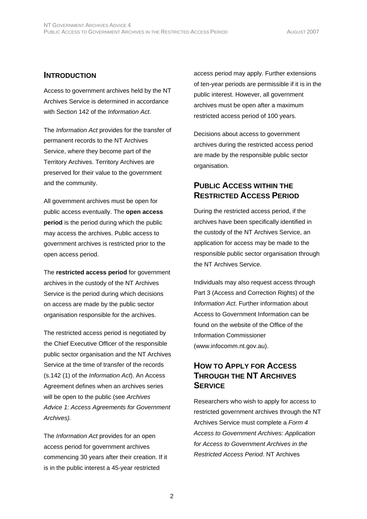#### **INTRODUCTION**

Access to government archives held by the NT Archives Service is determined in accordance with Section 142 of the *Information Act*.

The *Information Act* provides for the transfer of permanent records to the NT Archives Service, where they become part of the Territory Archives. Territory Archives are preserved for their value to the government and the community.

All government archives must be open for public access eventually. The **open access period** is the period during which the public may access the archives. Public access to government archives is restricted prior to the open access period.

The **restricted access period** for government archives in the custody of the NT Archives Service is the period during which decisions on access are made by the public sector organisation responsible for the archives.

The restricted access period is negotiated by the Chief Executive Officer of the responsible public sector organisation and the NT Archives Service at the time of transfer of the records (s.142 (1) of the *Information Act*). An Access Agreement defines when an archives series will be open to the public (see *Archives Advice 1: Access Agreements for Government Archives).* 

The *Information Act* provides for an open access period for government archives commencing 30 years after their creation. If it is in the public interest a 45-year restricted

access period may apply. Further extensions of ten-year periods are permissible if it is in the public interest. However, all government archives must be open after a maximum restricted access period of 100 years.

Decisions about access to government archives during the restricted access period are made by the responsible public sector organisation.

#### **PUBLIC ACCESS WITHIN THE RESTRICTED ACCESS PERIOD**

During the restricted access period, if the archives have been specifically identified in the custody of the NT Archives Service, an application for access may be made to the responsible public sector organisation through the NT Archives Service.

Individuals may also request access through Part 3 (Access and Correction Rights) of the *Information Act*. Further information about Access to Government Information can be found on the website of the Office of the Information Commissioner (www.infocomm.nt.gov.au).

## **HOW TO APPLY FOR ACCESS THROUGH THE NT ARCHIVES SERVICE**

Researchers who wish to apply for access to restricted government archives through the NT Archives Service must complete a *Form 4 Access to Government Archives: Application for Access to Government Archives in the Restricted Access Period*. NT Archives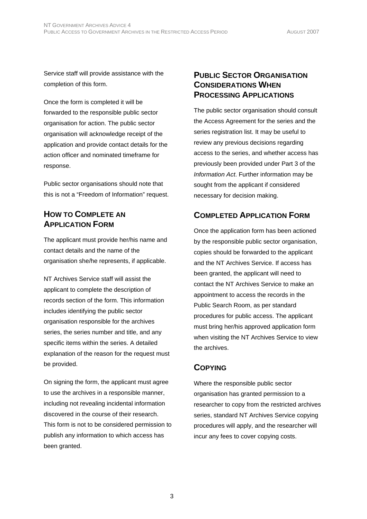Service staff will provide assistance with the completion of this form.

Once the form is completed it will be forwarded to the responsible public sector organisation for action. The public sector organisation will acknowledge receipt of the application and provide contact details for the action officer and nominated timeframe for response.

Public sector organisations should note that this is not a "Freedom of Information" request.

## **HOW TO COMPLETE AN APPLICATION FORM**

The applicant must provide her/his name and contact details and the name of the organisation she/he represents, if applicable.

NT Archives Service staff will assist the applicant to complete the description of records section of the form. This information includes identifying the public sector organisation responsible for the archives series, the series number and title, and any specific items within the series. A detailed explanation of the reason for the request must be provided.

On signing the form, the applicant must agree to use the archives in a responsible manner, including not revealing incidental information discovered in the course of their research. This form is not to be considered permission to publish any information to which access has been granted.

#### **PUBLIC SECTOR ORGANISATION CONSIDERATIONS WHEN PROCESSING APPLICATIONS**

The public sector organisation should consult the Access Agreement for the series and the series registration list. It may be useful to review any previous decisions regarding access to the series, and whether access has previously been provided under Part 3 of the *Information Act*. Further information may be sought from the applicant if considered necessary for decision making.

# **COMPLETED APPLICATION FORM**

Once the application form has been actioned by the responsible public sector organisation, copies should be forwarded to the applicant and the NT Archives Service. If access has been granted, the applicant will need to contact the NT Archives Service to make an appointment to access the records in the Public Search Room, as per standard procedures for public access. The applicant must bring her/his approved application form when visiting the NT Archives Service to view the archives.

# **COPYING**

Where the responsible public sector organisation has granted permission to a researcher to copy from the restricted archives series, standard NT Archives Service copying procedures will apply, and the researcher will incur any fees to cover copying costs.